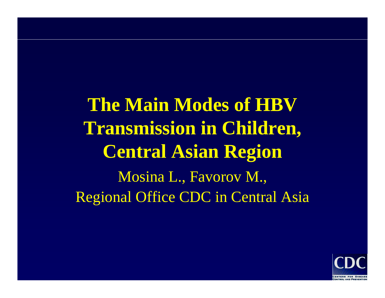**The Main Modes of HBVTransmission in Children, Central Asian Region** Mosina L., Favorov M., Regional Office CDC in Central Asia

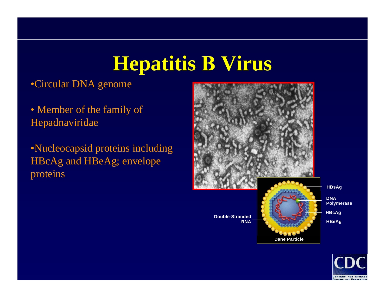# **Hepatitis В Virus**

#### •Circular DNA genome

• Member of the family of Hepadnaviridae

•Nucleocapsid proteins including HBcAg and HBeAg; envelope proteins



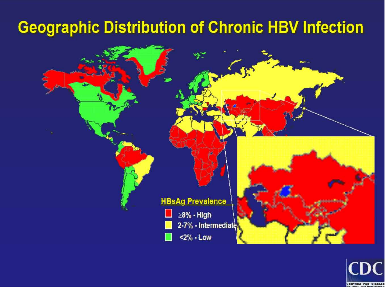### **Geographic Distribution of Chronic HBV Infection**



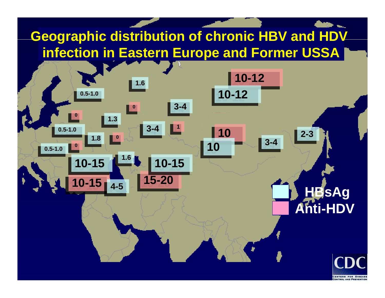### **Geographic distribution of chronic HBV and HDV infection in Eastern Europe and Former USSA**

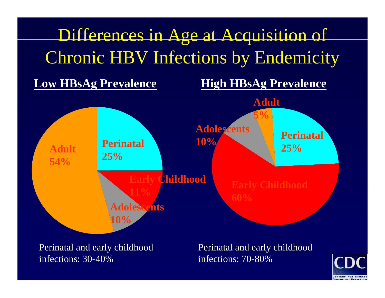

Perinatal and early childhood infections: 30-40%

Perinatal and early childhood infections: 70-80%

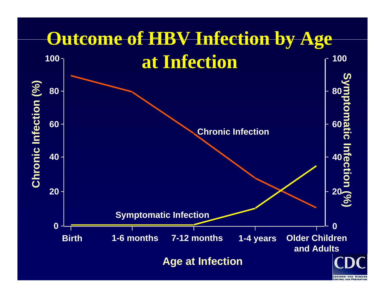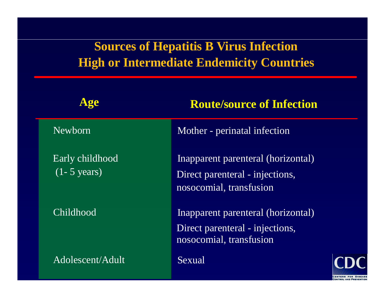#### **Sources of Hepatitis B Virus Infection High or Intermediate Endemicity Countries**

| Age                                        | <b>Route/source of Infection</b>                                                                 |  |  |  |  |
|--------------------------------------------|--------------------------------------------------------------------------------------------------|--|--|--|--|
| Newborn                                    | Mother - perinatal infection                                                                     |  |  |  |  |
| Early childhood<br>$(1 - 5 \text{ years})$ | Inapparent parenteral (horizontal)<br>Direct parenteral - injections,<br>nosocomial, transfusion |  |  |  |  |
| Childhood                                  | Inapparent parenteral (horizontal)<br>Direct parenteral - injections,<br>nosocomial, transfusion |  |  |  |  |
| Adolescent/Adult                           | Sexual                                                                                           |  |  |  |  |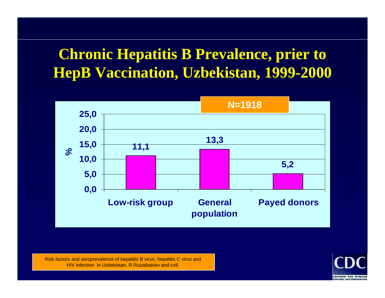## **Chronic Hepatitis B Prevalence, prier to HepB Vaccination, Uzbekistan, 1999-2000**



Risk factors and seropre valenceof hepatitis B virus, hepatitis C virus and HIV infection in Uzbekistan, R.Ruzaibakie v and coll.

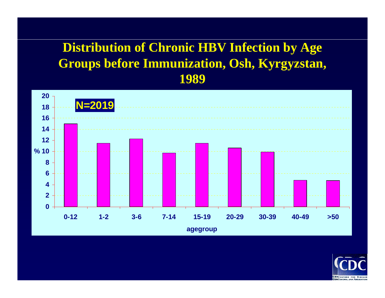#### **Distribution of Chronic HBV Infection by Age Groups before Immunization, Osh, Kyrgyzstan, 1989**



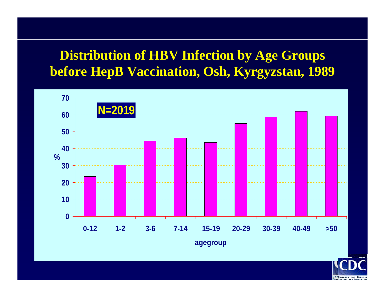#### **Distribution of HBV Infection by Age Groups before HepB Vaccination, Osh, Kyrgyzstan, 1989**



**CENCENTERS FOR DISEAS**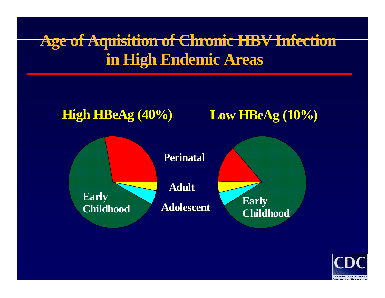## **Age of Aquisition of Chronic HBV Infection in High Endemic Areas**



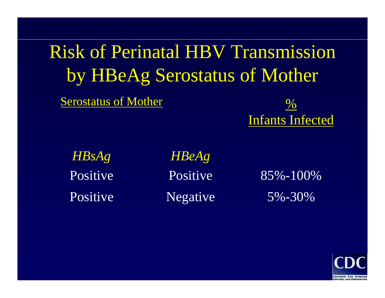Risk of Perinatal HBV Transmission by HBeAg Serostatus of Mother

Serostatus of Mother



*HBsAg*

*HBeAg* Positive Positive 85%-100% Positive Negative 5%-30%

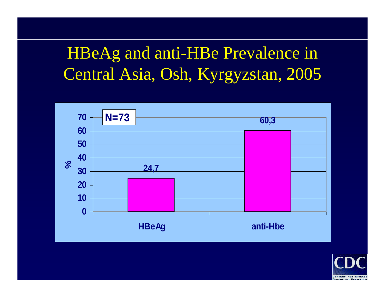# HBeAg and anti-HBe Prevalence in Central Asia, Osh, Kyrgyzstan, 2005



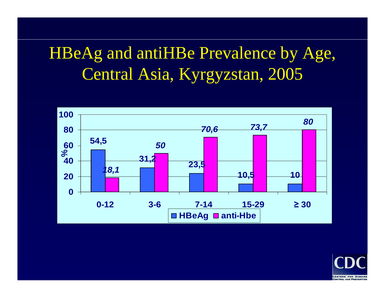# HBeAg and antiHBe Prevalence by Age, Central Asia, Kyrgyzstan, 2005

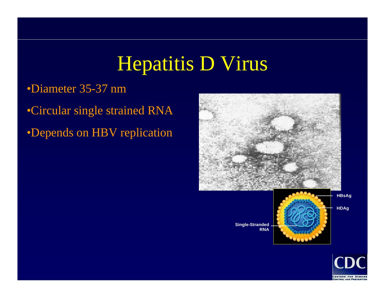# Hepatitis D Virus

#### •Diameter 35-37 nm

•Circular single strained RNA •Depends on HBV replication



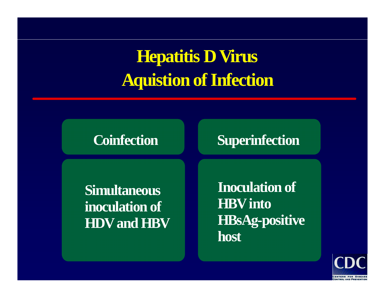# **Hepatitis D Virus Aquistion of Infection**

#### **Coinfection**

#### **Superinfection**

**Simultaneous inoculation of HDV and HBV**

**Inoculation of HBV into HBsAg-positive host**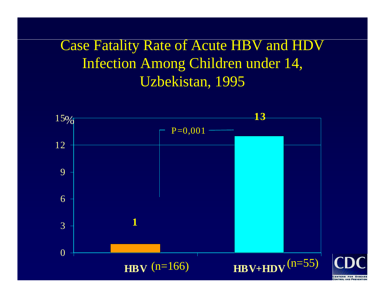### Case Fatality Rate of Acute HBV and HDV Infection Among Children under 14, Uzbekistan, 1995

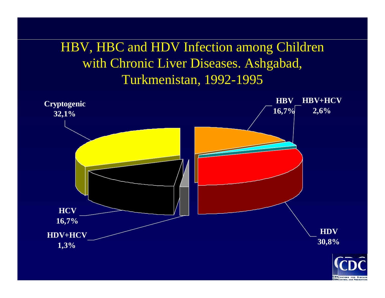#### HBV, HBC and HDV Infection among Children with Chronic Liver Diseases. Ashgabad, Turkmenistan, 1992-1995



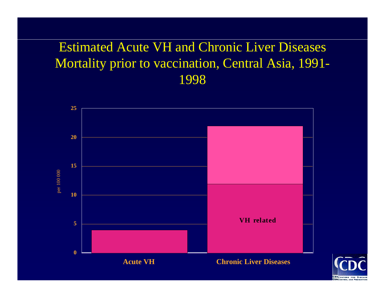#### Estimated Acute VH and Chronic Liver Diseases Mortality prior to vaccination, Central Asia, 1991- 1998



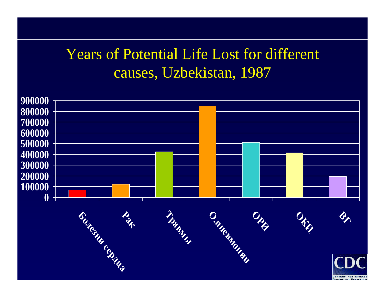### Years of Potential Life Lost for different causes, Uzbekistan, 1987

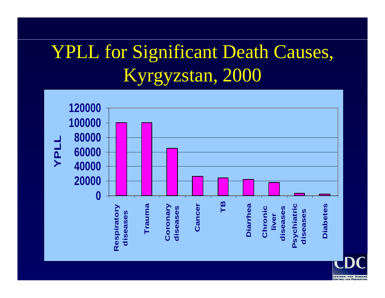# YPLL for Significant Death Causes, Kyrgyzstan, 2000

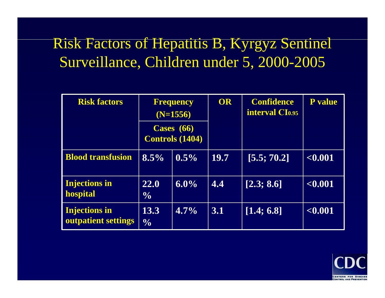## Risk Factors of Hepatitis B, Kyrgyz Sentinel Surveillance, Children under 5, 2000-2005

| <b>Risk factors</b>                         | <b>Frequency</b><br>$(N=1556)$         |         | OR          | <b>Confidence</b><br><b>interval CI0.95</b> | <b>P</b> value |
|---------------------------------------------|----------------------------------------|---------|-------------|---------------------------------------------|----------------|
|                                             | Cases $(66)$<br><b>Controls (1404)</b> |         |             |                                             |                |
| <b>Blood transfusion</b>                    | 8.5%                                   | $0.5\%$ | <b>19.7</b> | [5.5; 70.2]                                 | < 0.001        |
| <b>Injections in</b><br>hospital            | <b>22.0</b><br>$\frac{0}{0}$           | $6.0\%$ | 4.4         | [2.3; 8.6]                                  | < 0.001        |
| <b>Injections in</b><br>outpatient settings | 13.3<br>$\frac{0}{0}$                  | $4.7\%$ | 3.1         | [1.4; 6.8]                                  | < 0.001        |

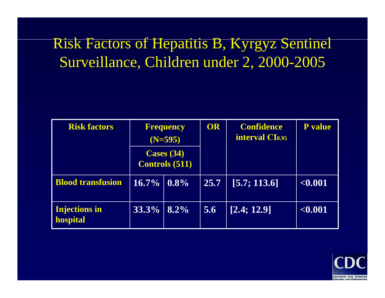## Risk Factors of Hepatitis B, Kyrgyz Sentinel Surveillance, Children under 2, 2000-2005

| <b>Risk factors</b>              | Frequency<br>$(N=595)$                |         | OR   | <b>Confidence</b><br><b>interval CI0.95</b> | <b>P</b> value |
|----------------------------------|---------------------------------------|---------|------|---------------------------------------------|----------------|
|                                  | Cases $(34)$<br><b>Controls (511)</b> |         |      |                                             |                |
| <b>Blood transfusion</b>         | $16.7\%$   $0.8\%$                    |         | 25.7 | [5.7; 113.6]                                | < 0.001        |
| <b>Injections in</b><br>hospital | $33.3\%$                              | $8.2\%$ | 5.6  | [2.4; 12.9]                                 | < 0.001        |

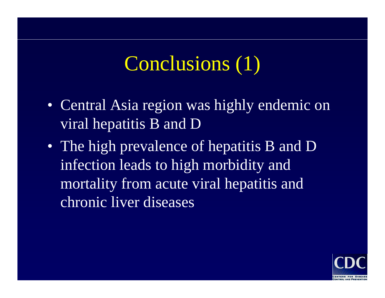# Conclusions (1)

- Central Asia region was highly endemic on viral hepatitis B and D
- The high prevalence of hepatitis B and D infection leads to high morbidity and mortality from acute viral hepatitis and chronic liver diseases

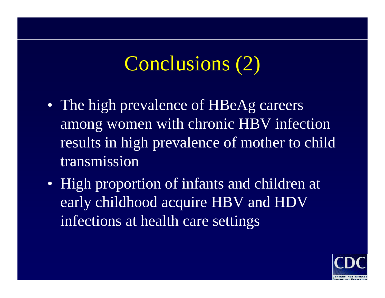# Conclusions (2)

- The high prevalence of HBeAg careers among women with chronic HBV infection results in high prevalence of mother to child transmission
- High proportion of infants and children at early childhood acquire HBV and HDV infections at health care settings